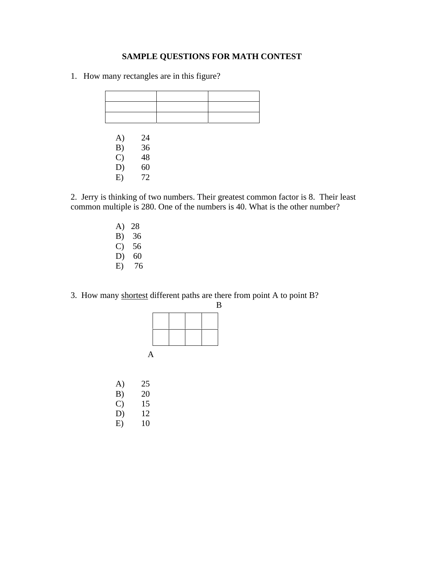## **SAMPLE QUESTIONS FOR MATH CONTEST**

1. How many rectangles are in this figure?

| A)            |                      |  |
|---------------|----------------------|--|
| B)            |                      |  |
| $\mathcal{C}$ |                      |  |
| D)            | 24<br>36<br>48<br>60 |  |
| E)            | 72                   |  |

2. Jerry is thinking of two numbers. Their greatest common factor is 8. Their least common multiple is 280. One of the numbers is 40. What is the other number?

> A) 28 B) 36 C) 56 D) 60 E) 76

3. How many shortest different paths are there from point A to point B?